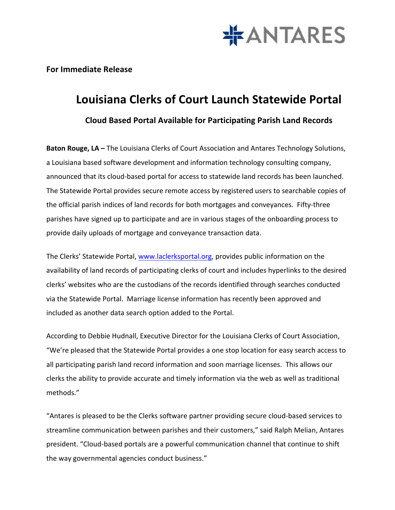

**For Immediate Release** 

## **Louisiana Clerks of Court Launch Statewide Portal**

**Cloud Based Portal Available for Participating Parish Land Records**

**Baton Rouge, LA** – The Louisiana Clerks of Court Association and Antares Technology Solutions, a Louisiana based software development and information technology consulting company, announced that its cloud-based portal for access to statewide land records has been launched. The Statewide Portal provides secure remote access by registered users to searchable copies of the official parish indices of land records for both mortgages and conveyances. Fifty-three parishes have signed up to participate and are in various stages of the onboarding process to provide daily uploads of mortgage and conveyance transaction data.

The Clerks' Statewide Portal, www.laclerksportal.org, provides public information on the availability of land records of participating clerks of court and includes hyperlinks to the desired clerks' websites who are the custodians of the records identified through searches conducted via the Statewide Portal. Marriage license information has recently been approved and included as another data search option added to the Portal.

According to Debbie Hudnall, Executive Director for the Louisiana Clerks of Court Association, "We're pleased that the Statewide Portal provides a one stop location for easy search access to all participating parish land record information and soon marriage licenses. This allows our clerks the ability to provide accurate and timely information via the web as well as traditional methods."

"Antares is pleased to be the Clerks software partner providing secure cloud-based services to streamline communication between parishes and their customers," said Ralph Melian, Antares president. "Cloud-based portals are a powerful communication channel that continue to shift the way governmental agencies conduct business."